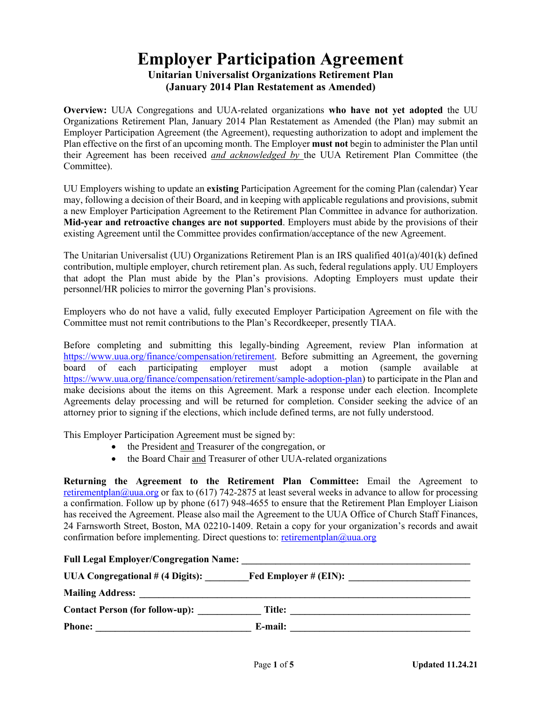## **Employer Participation Agreement Unitarian Universalist Organizations Retirement Plan (January 2014 Plan Restatement as Amended)**

**Overview:** UUA Congregations and UUA-related organizations **who have not yet adopted** the UU Organizations Retirement Plan, January 2014 Plan Restatement as Amended (the Plan) may submit an Employer Participation Agreement (the Agreement), requesting authorization to adopt and implement the Plan effective on the first of an upcoming month. The Employer **must not** begin to administer the Plan until their Agreement has been received *and acknowledged by* the UUA Retirement Plan Committee (the Committee).

UU Employers wishing to update an **existing** Participation Agreement for the coming Plan (calendar) Year may, following a decision of their Board, and in keeping with applicable regulations and provisions, submit a new Employer Participation Agreement to the Retirement Plan Committee in advance for authorization. **Mid-year and retroactive changes are not supported**. Employers must abide by the provisions of their existing Agreement until the Committee provides confirmation/acceptance of the new Agreement.

The Unitarian Universalist (UU) Organizations Retirement Plan is an IRS qualified 401(a)/401(k) defined contribution, multiple employer, church retirement plan. As such, federal regulations apply. UU Employers that adopt the Plan must abide by the Plan's provisions. Adopting Employers must update their personnel/HR policies to mirror the governing Plan's provisions.

Employers who do not have a valid, fully executed Employer Participation Agreement on file with the Committee must not remit contributions to the Plan's Recordkeeper, presently TIAA.

Before completing and submitting this legally-binding Agreement, review Plan information at https://www.uua.org/finance/compensation/retirement. Before submitting an Agreement, the governing board of each participating employer must adopt a motion (sample available at https://www.uua.org/finance/compensation/retirement/sample-adoption-plan) to participate in the Plan and make decisions about the items on this Agreement. Mark a response under each election. Incomplete Agreements delay processing and will be returned for completion. Consider seeking the advice of an attorney prior to signing if the elections, which include defined terms, are not fully understood.

This Employer Participation Agreement must be signed by:

- the President and Treasurer of the congregation, or
- the Board Chair and Treasurer of other UUA-related organizations

**Returning the Agreement to the Retirement Plan Committee:** Email the Agreement to retirementplan@uua.org or fax to (617) 742-2875 at least several weeks in advance to allow for processing a confirmation. Follow up by phone (617) 948-4655 to ensure that the Retirement Plan Employer Liaison has received the Agreement. Please also mail the Agreement to the UUA Office of Church Staff Finances, 24 Farnsworth Street, Boston, MA 02210-1409. Retain a copy for your organization's records and await confirmation before implementing. Direct questions to: retirementplan@uua.org

| <b>Full Legal Employer/Congregation Name:</b> |                          |
|-----------------------------------------------|--------------------------|
| UUA Congregational # (4 Digits):              | Fed Employer $\#$ (EIN): |
| <b>Mailing Address:</b>                       |                          |
| <b>Contact Person (for follow-up):</b>        | Title:                   |
| <b>Phone:</b>                                 | E-mail:                  |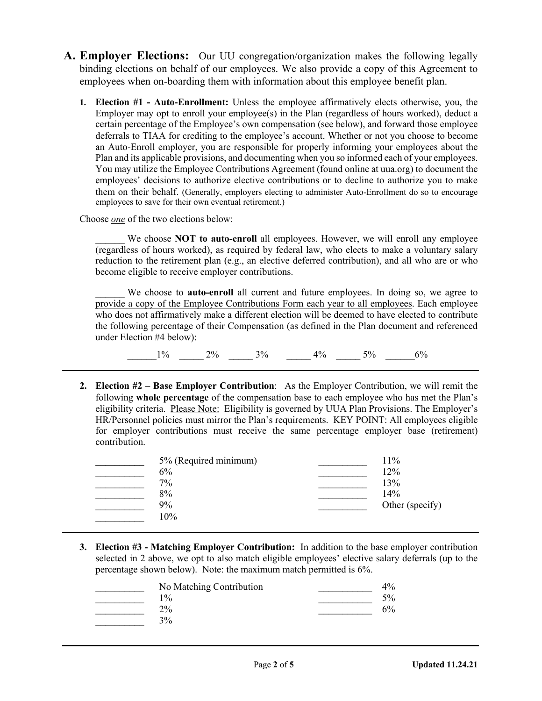- **A. Employer Elections:** Our UU congregation/organization makes the following legally binding elections on behalf of our employees. We also provide a copy of this Agreement to employees when on-boarding them with information about this employee benefit plan.
	- **1. Election #1 - Auto-Enrollment:** Unless the employee affirmatively elects otherwise, you, the Employer may opt to enroll your employee(s) in the Plan (regardless of hours worked), deduct a certain percentage of the Employee's own compensation (see below), and forward those employee deferrals to TIAA for crediting to the employee's account. Whether or not you choose to become an Auto-Enroll employer, you are responsible for properly informing your employees about the Plan and its applicable provisions, and documenting when you so informed each of your employees. You may utilize the Employee Contributions Agreement (found online at uua.org) to document the employees' decisions to authorize elective contributions or to decline to authorize you to make them on their behalf. (Generally, employers electing to administer Auto-Enrollment do so to encourage employees to save for their own eventual retirement.)

Choose *one* of the two elections below:

We choose **NOT** to auto-enroll all employees. However, we will enroll any employee (regardless of hours worked), as required by federal law, who elects to make a voluntary salary reduction to the retirement plan (e.g., an elective deferred contribution), and all who are or who become eligible to receive employer contributions.

We choose to **auto-enroll** all current and future employees. In doing so, we agree to provide a copy of the Employee Contributions Form each year to all employees. Each employee who does not affirmatively make a different election will be deemed to have elected to contribute the following percentage of their Compensation (as defined in the Plan document and referenced under Election #4 below):

 $\_1\%$   $\_2\%$   $\_3\%$   $\_4\%$   $\_5\%$   $\_6\%$ 

**2. Election #2 – Base Employer Contribution**: As the Employer Contribution, we will remit the following **whole percentage** of the compensation base to each employee who has met the Plan's eligibility criteria. Please Note: Eligibility is governed by UUA Plan Provisions. The Employer's HR/Personnel policies must mirror the Plan's requirements. KEY POINT: All employees eligible for employer contributions must receive the same percentage employer base (retirement) contribution.

| 5% (Required minimum) | 11%             |
|-----------------------|-----------------|
| 6%                    | 12%             |
| $7\%$                 | 13%             |
| 8%                    | 14%             |
| 9%                    | Other (specify) |
| 10%                   |                 |

**3. Election #3 - Matching Employer Contribution:** In addition to the base employer contribution selected in 2 above, we opt to also match eligible employees' elective salary deferrals (up to the percentage shown below). Note: the maximum match permitted is 6%.

| No Matching Contribution | 4%    |
|--------------------------|-------|
| $1\%$                    | 5%    |
| $2\%$                    | $6\%$ |
| 3%                       |       |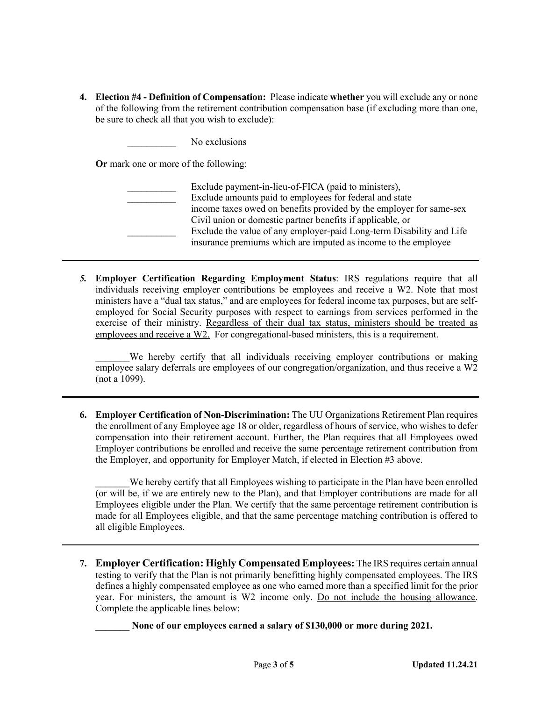**4. Election #4 - Definition of Compensation:** Please indicate **whether** you will exclude any or none of the following from the retirement contribution compensation base (if excluding more than one, be sure to check all that you wish to exclude):

No exclusions

**Or** mark one or more of the following:

| Exclude payment-in-lieu-of-FICA (paid to ministers),                 |
|----------------------------------------------------------------------|
| Exclude amounts paid to employees for federal and state              |
| income taxes owed on benefits provided by the employer for same-sex  |
| Civil union or domestic partner benefits if applicable, or           |
| Exclude the value of any employer-paid Long-term Disability and Life |
| insurance premiums which are imputed as income to the employee       |

*5.* **Employer Certification Regarding Employment Status**: IRS regulations require that all individuals receiving employer contributions be employees and receive a W2. Note that most ministers have a "dual tax status," and are employees for federal income tax purposes, but are selfemployed for Social Security purposes with respect to earnings from services performed in the exercise of their ministry. Regardless of their dual tax status, ministers should be treated as employees and receive a W2. For congregational-based ministers, this is a requirement.

We hereby certify that all individuals receiving employer contributions or making employee salary deferrals are employees of our congregation/organization, and thus receive a W2 (not a 1099).

**6. Employer Certification of Non-Discrimination:** The UU Organizations Retirement Plan requires the enrollment of any Employee age 18 or older, regardless of hours of service, who wishes to defer compensation into their retirement account. Further, the Plan requires that all Employees owed Employer contributions be enrolled and receive the same percentage retirement contribution from the Employer, and opportunity for Employer Match, if elected in Election #3 above.

We hereby certify that all Employees wishing to participate in the Plan have been enrolled (or will be, if we are entirely new to the Plan), and that Employer contributions are made for all Employees eligible under the Plan. We certify that the same percentage retirement contribution is made for all Employees eligible, and that the same percentage matching contribution is offered to all eligible Employees.

**7. Employer Certification: Highly Compensated Employees:** The IRS requires certain annual testing to verify that the Plan is not primarily benefitting highly compensated employees. The IRS defines a highly compensated employee as one who earned more than a specified limit for the prior year. For ministers, the amount is W2 income only. Do not include the housing allowance. Complete the applicable lines below:

None of our employees earned a salary of \$130,000 or more during 2021.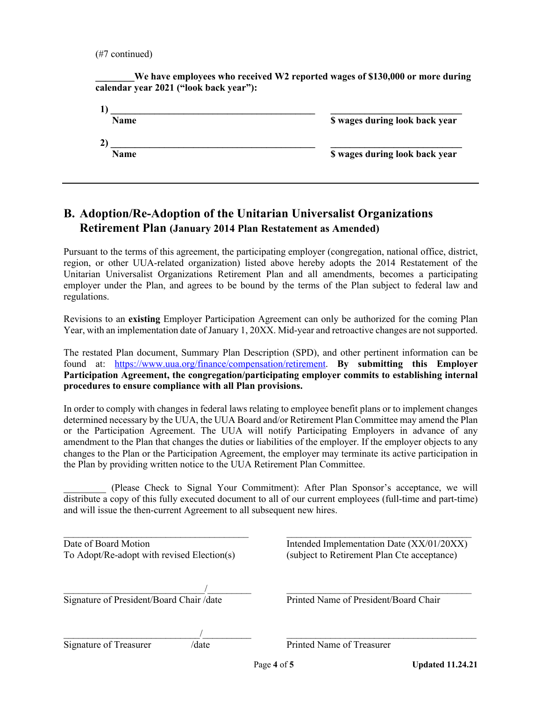(#7 continued)

We have employees who received W2 reported wages of \$130,000 or more during **calendar year 2021 ("look back year"):**

| <b>Name</b>  | \$ wages during look back year |
|--------------|--------------------------------|
| $\mathbf{2}$ |                                |
| <b>Name</b>  | \$ wages during look back year |
|              |                                |

## **B. Adoption/Re-Adoption of the Unitarian Universalist Organizations Retirement Plan (January 2014 Plan Restatement as Amended)**

Pursuant to the terms of this agreement, the participating employer (congregation, national office, district, region, or other UUA-related organization) listed above hereby adopts the 2014 Restatement of the Unitarian Universalist Organizations Retirement Plan and all amendments, becomes a participating employer under the Plan, and agrees to be bound by the terms of the Plan subject to federal law and regulations.

Revisions to an **existing** Employer Participation Agreement can only be authorized for the coming Plan Year, with an implementation date of January 1, 20XX. Mid-year and retroactive changes are not supported.

The restated Plan document, Summary Plan Description (SPD), and other pertinent information can be found at: https://www.uua.org/finance/compensation/retirement. **By submitting this Employer Participation Agreement, the congregation/participating employer commits to establishing internal procedures to ensure compliance with all Plan provisions.** 

In order to comply with changes in federal laws relating to employee benefit plans or to implement changes determined necessary by the UUA, the UUA Board and/or Retirement Plan Committee may amend the Plan or the Participation Agreement. The UUA will notify Participating Employers in advance of any amendment to the Plan that changes the duties or liabilities of the employer. If the employer objects to any changes to the Plan or the Participation Agreement, the employer may terminate its active participation in the Plan by providing written notice to the UUA Retirement Plan Committee.

\_\_\_\_\_\_\_\_ (Please Check to Signal Your Commitment): After Plan Sponsor's acceptance, we will distribute a copy of this fully executed document to all of our current employees (full-time and part-time) and will issue the then-current Agreement to all subsequent new hires.

| Date of Board Motion                       | Intended Implementation Date (XX/01/20XX)   |
|--------------------------------------------|---------------------------------------------|
| To Adopt/Re-adopt with revised Election(s) | (subject to Retirement Plan Cte acceptance) |

 $\frac{1}{2}$  , and the contract of the contract of the contract of the contract of the contract of the contract of the contract of the contract of the contract of the contract of the contract of the contract of the contract Signature of President/Board Chair /date Printed Name of President/Board Chair

 $\frac{1}{2}$  , and the contribution of  $\frac{1}{2}$  , and the contribution of  $\frac{1}{2}$  , and the contribution of  $\frac{1}{2}$ Signature of Treasurer /date Printed Name of Treasurer